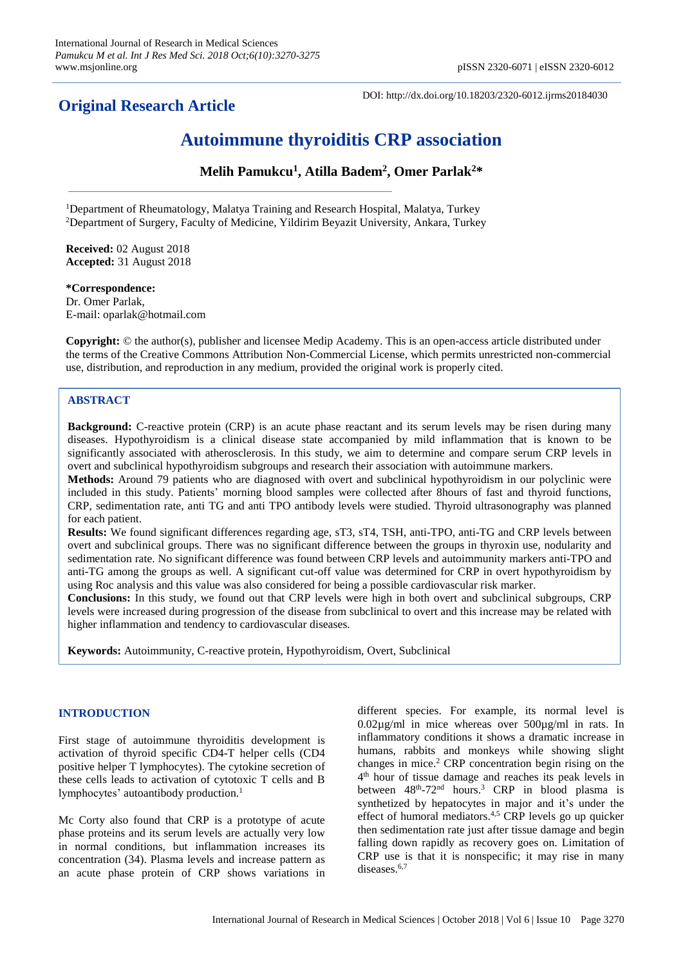# **Original Research Article**

DOI: http://dx.doi.org/10.18203/2320-6012.ijrms20184030

# **Autoimmune thyroiditis CRP association**

**Melih Pamukcu<sup>1</sup> , Atilla Badem<sup>2</sup> , Omer Parlak<sup>2</sup>\***

<sup>1</sup>Department of Rheumatology, Malatya Training and Research Hospital, Malatya, Turkey <sup>2</sup>Department of Surgery, Faculty of Medicine, Yildirim Beyazit University, Ankara, Turkey

**Received:** 02 August 2018 **Accepted:** 31 August 2018

**\*Correspondence:** Dr. Omer Parlak, E-mail: oparlak@hotmail.com

**Copyright:** © the author(s), publisher and licensee Medip Academy. This is an open-access article distributed under the terms of the Creative Commons Attribution Non-Commercial License, which permits unrestricted non-commercial use, distribution, and reproduction in any medium, provided the original work is properly cited.

# **ABSTRACT**

**Background:** C-reactive protein (CRP) is an acute phase reactant and its serum levels may be risen during many diseases. Hypothyroidism is a clinical disease state accompanied by mild inflammation that is known to be significantly associated with atherosclerosis. In this study, we aim to determine and compare serum CRP levels in overt and subclinical hypothyroidism subgroups and research their association with autoimmune markers.

**Methods:** Around 79 patients who are diagnosed with overt and subclinical hypothyroidism in our polyclinic were included in this study. Patients' morning blood samples were collected after 8hours of fast and thyroid functions, CRP, sedimentation rate, anti TG and anti TPO antibody levels were studied. Thyroid ultrasonography was planned for each patient.

**Results:** We found significant differences regarding age, sT3, sT4, TSH, anti-TPO, anti-TG and CRP levels between overt and subclinical groups. There was no significant difference between the groups in thyroxin use, nodularity and sedimentation rate. No significant difference was found between CRP levels and autoimmunity markers anti-TPO and anti-TG among the groups as well. A significant cut-off value was determined for CRP in overt hypothyroidism by using Roc analysis and this value was also considered for being a possible cardiovascular risk marker.

**Conclusions:** In this study, we found out that CRP levels were high in both overt and subclinical subgroups, CRP levels were increased during progression of the disease from subclinical to overt and this increase may be related with higher inflammation and tendency to cardiovascular diseases.

**Keywords:** Autoimmunity, C-reactive protein, Hypothyroidism, Overt, Subclinical

# **INTRODUCTION**

First stage of autoimmune thyroiditis development is activation of thyroid specific CD4-T helper cells (CD4 positive helper T lymphocytes). The cytokine secretion of these cells leads to activation of cytotoxic T cells and B lymphocytes' autoantibody production. 1

Mc Corty also found that CRP is a prototype of acute phase proteins and its serum levels are actually very low in normal conditions, but inflammation increases its concentration (34). Plasma levels and increase pattern as an acute phase protein of CRP shows variations in different species. For example, its normal level is 0.02µg/ml in mice whereas over 500µg/ml in rats. In inflammatory conditions it shows a dramatic increase in humans, rabbits and monkeys while showing slight changes in mice. <sup>2</sup> CRP concentration begin rising on the 4 th hour of tissue damage and reaches its peak levels in between 48<sup>th</sup>-72<sup>nd</sup> hours.<sup>3</sup> CRP in blood plasma is synthetized by hepatocytes in major and it's under the effect of humoral mediators.<sup>4,5</sup> CRP levels go up quicker then sedimentation rate just after tissue damage and begin falling down rapidly as recovery goes on. Limitation of CRP use is that it is nonspecific; it may rise in many diseases.<sup>6,7</sup>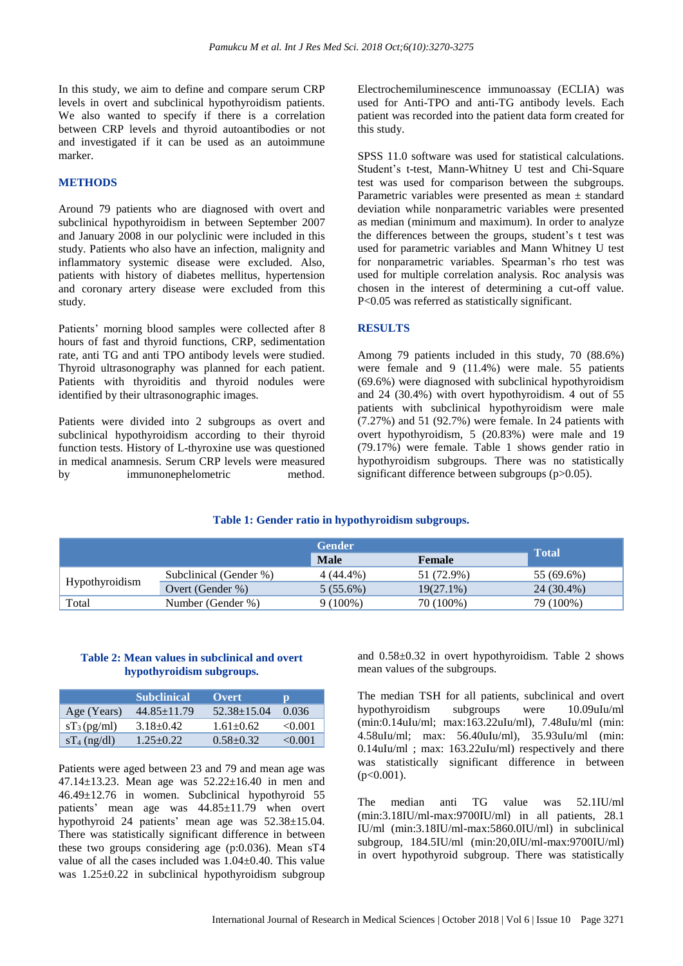In this study, we aim to define and compare serum CRP levels in overt and subclinical hypothyroidism patients. We also wanted to specify if there is a correlation between CRP levels and thyroid autoantibodies or not and investigated if it can be used as an autoimmune marker.

#### **METHODS**

Around 79 patients who are diagnosed with overt and subclinical hypothyroidism in between September 2007 and January 2008 in our polyclinic were included in this study. Patients who also have an infection, malignity and inflammatory systemic disease were excluded. Also, patients with history of diabetes mellitus, hypertension and coronary artery disease were excluded from this study.

Patients' morning blood samples were collected after 8 hours of fast and thyroid functions, CRP, sedimentation rate, anti TG and anti TPO antibody levels were studied. Thyroid ultrasonography was planned for each patient. Patients with thyroiditis and thyroid nodules were identified by their ultrasonographic images.

Patients were divided into 2 subgroups as overt and subclinical hypothyroidism according to their thyroid function tests. History of L-thyroxine use was questioned in medical anamnesis. Serum CRP levels were measured by immunonephelometric method.

Electrochemiluminescence immunoassay (ECLIA) was used for Anti-TPO and anti-TG antibody levels. Each patient was recorded into the patient data form created for this study.

SPSS 11.0 software was used for statistical calculations. Student's t-test, Mann-Whitney U test and Chi-Square test was used for comparison between the subgroups. Parametric variables were presented as mean ± standard deviation while nonparametric variables were presented as median (minimum and maximum). In order to analyze the differences between the groups, student's t test was used for parametric variables and Mann Whitney U test for nonparametric variables. Spearman's rho test was used for multiple correlation analysis. Roc analysis was chosen in the interest of determining a cut-off value. P<0.05 was referred as statistically significant.

#### **RESULTS**

Among 79 patients included in this study, 70 (88.6%) were female and 9 (11.4%) were male. 55 patients (69.6%) were diagnosed with subclinical hypothyroidism and 24 (30.4%) with overt hypothyroidism. 4 out of 55 patients with subclinical hypothyroidism were male  $(7.27%)$  and 51  $(92.7%)$  were female. In 24 patients with overt hypothyroidism, 5 (20.83%) were male and 19 (79.17%) were female. Table 1 shows gender ratio in hypothyroidism subgroups. There was no statistically significant difference between subgroups (p>0.05).

## **Table 1: Gender ratio in hypothyroidism subgroups.**

|                |                        | <b>Gender</b> |               | <b>Total</b> |  |
|----------------|------------------------|---------------|---------------|--------------|--|
|                |                        | <b>Male</b>   | <b>Female</b> |              |  |
| Hypothyroidism | Subclinical (Gender %) | 4 (44.4%)     | 51 (72.9%)    | 55 (69.6%)   |  |
|                | Overt (Gender %)       | $5(55.6\%)$   | $19(27.1\%)$  | 24 (30.4%)   |  |
| Total          | Number (Gender %)      | $9(100\%)$    | 70 (100%)     | 79 (100%)    |  |

## **Table 2: Mean values in subclinical and overt hypothyroidism subgroups.**

|                | <b>Subclinical</b> | Overt             | ю       |
|----------------|--------------------|-------------------|---------|
| Age (Years)    | $44.85 \pm 11.79$  | $52.38 \pm 15.04$ | 0.036   |
| $sT_3$ (pg/ml) | $3.18 \pm 0.42$    | $1.61 + 0.62$     | < 0.001 |
| $sT_4$ (ng/dl) | $1.25 + 0.22$      | $0.58 + 0.32$     | <0.001  |

Patients were aged between 23 and 79 and mean age was 47.14±13.23. Mean age was 52.22±16.40 in men and 46.49±12.76 in women. Subclinical hypothyroid 55 patients' mean age was 44.85±11.79 when overt hypothyroid 24 patients' mean age was 52.38±15.04. There was statistically significant difference in between these two groups considering age (p:0.036). Mean sT4 value of all the cases included was 1.04±0.40. This value was 1.25±0.22 in subclinical hypothyroidism subgroup and 0.58±0.32 in overt hypothyroidism. Table 2 shows mean values of the subgroups.

The median TSH for all patients, subclinical and overt hypothyroidism subgroups were 10.09uIu/ml (min:0.14uIu/ml; max:163.22uIu/ml), 7.48uIu/ml (min: 4.58uIu/ml; max: 56.40uIu/ml), 35.93uIu/ml (min: 0.14uIu/ml ; max: 163.22uIu/ml) respectively and there was statistically significant difference in between  $(p<0.001)$ .

The median anti TG value was 52.1IU/ml (min:3.18IU/ml-max:9700IU/ml) in all patients, 28.1 IU/ml (min:3.18IU/ml-max:5860.0IU/ml) in subclinical subgroup, 184.5IU/ml (min:20,0IU/ml-max:9700IU/ml) in overt hypothyroid subgroup. There was statistically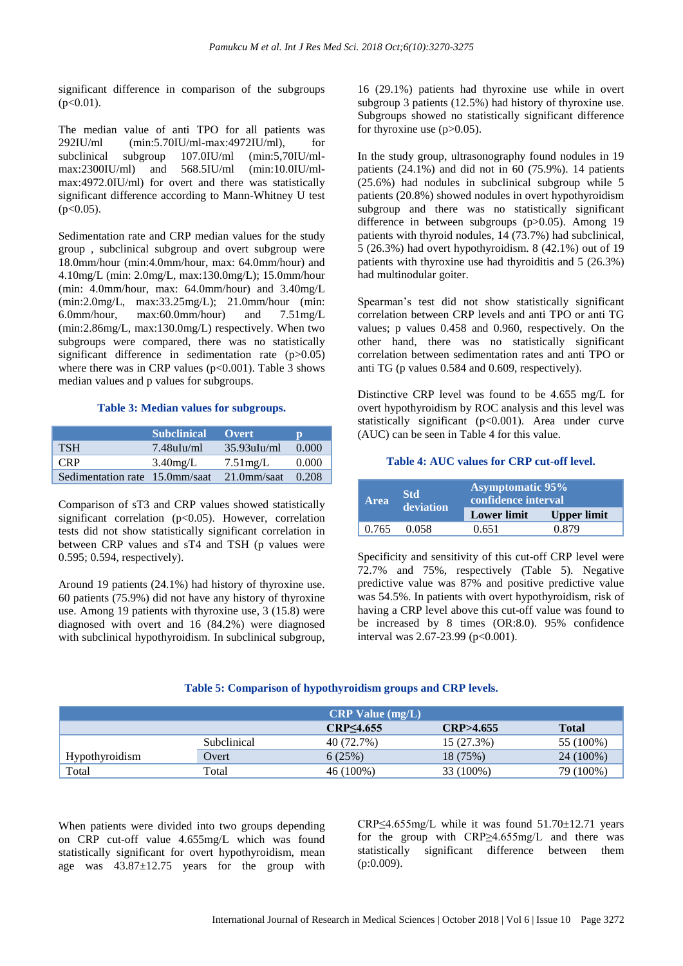significant difference in comparison of the subgroups  $(p<0.01)$ .

The median value of anti TPO for all patients was 292IU/ml (min:5.70IU/ml-max:4972IU/ml), for subclinical subgroup 107.0IU/ml (min:5,70IU/mlmax:2300IU/ml) and 568.5IU/ml (min:10.0IU/mlmax:4972.0IU/ml) for overt and there was statistically significant difference according to Mann-Whitney U test  $(p<0.05)$ .

Sedimentation rate and CRP median values for the study group , subclinical subgroup and overt subgroup were 18.0mm/hour (min:4.0mm/hour, max: 64.0mm/hour) and 4.10mg/L (min: 2.0mg/L, max:130.0mg/L); 15.0mm/hour (min: 4.0mm/hour, max: 64.0mm/hour) and 3.40mg/L (min:2.0mg/L, max:33.25mg/L); 21.0mm/hour (min: 6.0mm/hour, max:60.0mm/hour) and 7.51mg/L (min:2.86mg/L, max:130.0mg/L) respectively. When two subgroups were compared, there was no statistically significant difference in sedimentation rate (p>0.05) where there was in CRP values  $(p<0.001)$ . Table 3 shows median values and p values for subgroups.

#### **Table 3: Median values for subgroups.**

|                                | <b>Subclinical</b> | <b>Overt</b>   | D     |
|--------------------------------|--------------------|----------------|-------|
| <b>TSH</b>                     | $7.48$ uIu/ml      | $35.93$ uIu/ml | 0.000 |
| CRP.                           | $3.40$ mg/L        | $7.51$ mg/L    | 0.000 |
| Sedimentation rate 15.0mm/saat |                    | $21.0$ mm/saat | 0.208 |

Comparison of sT3 and CRP values showed statistically significant correlation  $(p<0.05)$ . However, correlation tests did not show statistically significant correlation in between CRP values and sT4 and TSH (p values were 0.595; 0.594, respectively).

Around 19 patients (24.1%) had history of thyroxine use. 60 patients (75.9%) did not have any history of thyroxine use. Among 19 patients with thyroxine use, 3 (15.8) were diagnosed with overt and 16 (84.2%) were diagnosed with subclinical hypothyroidism. In subclinical subgroup,

16 (29.1%) patients had thyroxine use while in overt subgroup 3 patients (12.5%) had history of thyroxine use. Subgroups showed no statistically significant difference for thyroxine use  $(p>0.05)$ .

In the study group, ultrasonography found nodules in 19 patients  $(24.1\%)$  and did not in 60 (75.9%). 14 patients (25.6%) had nodules in subclinical subgroup while 5 patients (20.8%) showed nodules in overt hypothyroidism subgroup and there was no statistically significant difference in between subgroups (p>0.05). Among 19 patients with thyroid nodules, 14 (73.7%) had subclinical, 5 (26.3%) had overt hypothyroidism. 8 (42.1%) out of 19 patients with thyroxine use had thyroiditis and 5 (26.3%) had multinodular goiter.

Spearman's test did not show statistically significant correlation between CRP levels and anti TPO or anti TG values; p values 0.458 and 0.960, respectively. On the other hand, there was no statistically significant correlation between sedimentation rates and anti TPO or anti TG (p values 0.584 and 0.609, respectively).

Distinctive CRP level was found to be 4.655 mg/L for overt hypothyroidism by ROC analysis and this level was statistically significant  $(p<0.001)$ . Area under curve (AUC) can be seen in Table 4 for this value.

#### **Table 4: AUC values for CRP cut-off level.**

| <b>Area</b> | <b>Std</b><br>deviation | <b>Asymptomatic 95%</b><br>confidence interval |                    |  |
|-------------|-------------------------|------------------------------------------------|--------------------|--|
|             |                         | <b>Lower limit</b>                             | <b>Upper limit</b> |  |
| 0.765       | 0.058                   | 0.651                                          | 0.879              |  |

Specificity and sensitivity of this cut-off CRP level were 72.7% and 75%, respectively (Table 5). Negative predictive value was 87% and positive predictive value was 54.5%. In patients with overt hypothyroidism, risk of having a CRP level above this cut-off value was found to be increased by 8 times (OR:8.0). 95% confidence interval was  $2.67 - 23.99$  (p<0.001).

# **Table 5: Comparison of hypothyroidism groups and CRP levels.**

|                | $CRP$ Value $(mg/L)$ |            |            |              |
|----------------|----------------------|------------|------------|--------------|
|                |                      | CRP<4.655  | CRP>4.655  | <b>Total</b> |
|                | Subclinical          | 40 (72.7%) | 15 (27.3%) | 55 (100%)    |
| Hypothyroidism | Overt                | 6(25%)     | 18 (75%)   | 24 (100%)    |
| Total          | Total                | 46 (100%)  | 33 (100%)  | 79 (100%)    |

When patients were divided into two groups depending on CRP cut-off value 4.655mg/L which was found statistically significant for overt hypothyroidism, mean age was 43.87±12.75 years for the group with CRP<4.655mg/L while it was found  $51.70 \pm 12.71$  years for the group with CRP≥4.655mg/L and there was statistically significant difference between them  $(p:0.009)$ .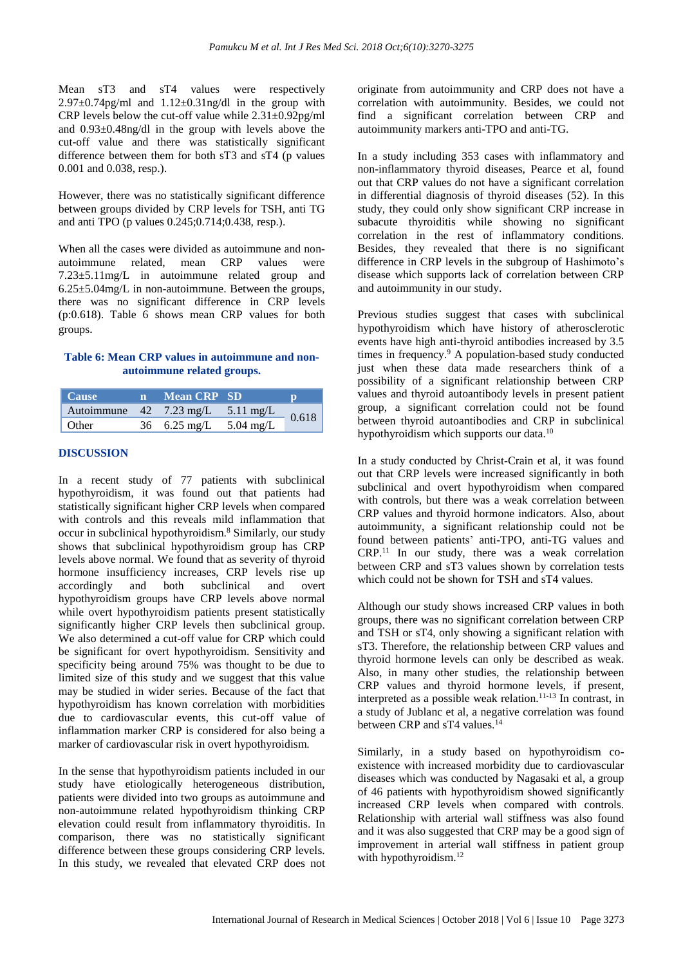Mean sT3 and sT4 values were respectively  $2.97\pm0.74$ pg/ml and  $1.12\pm0.31$ ng/dl in the group with CRP levels below the cut-off value while  $2.31 \pm 0.92 \text{pg/ml}$ and 0.93±0.48ng/dl in the group with levels above the cut-off value and there was statistically significant difference between them for both sT3 and sT4 (p values 0.001 and 0.038, resp.).

However, there was no statistically significant difference between groups divided by CRP levels for TSH, anti TG and anti TPO (p values 0.245;0.714;0.438, resp.).

When all the cases were divided as autoimmune and nonautoimmune related, mean CRP values were 7.23±5.11mg/L in autoimmune related group and  $6.25\pm5.04$ mg/L in non-autoimmune. Between the groups, there was no significant difference in CRP levels (p:0.618). Table 6 shows mean CRP values for both groups.

# **Table 6: Mean CRP values in autoimmune and nonautoimmune related groups.**

| Cause                                 | $\mathbf{m}$ | <b>Mean CRP SD</b>     |       |  |
|---------------------------------------|--------------|------------------------|-------|--|
| Autoimmune $42$ 7.23 mg/L $5.11$ mg/L |              |                        | 0.618 |  |
| Other                                 |              | 36 6.25 mg/L 5.04 mg/L |       |  |

### **DISCUSSION**

In a recent study of 77 patients with subclinical hypothyroidism, it was found out that patients had statistically significant higher CRP levels when compared with controls and this reveals mild inflammation that occur in subclinical hypothyroidism. <sup>8</sup> Similarly, our study shows that subclinical hypothyroidism group has CRP levels above normal. We found that as severity of thyroid hormone insufficiency increases, CRP levels rise up accordingly and both subclinical and overt hypothyroidism groups have CRP levels above normal while overt hypothyroidism patients present statistically significantly higher CRP levels then subclinical group. We also determined a cut-off value for CRP which could be significant for overt hypothyroidism. Sensitivity and specificity being around 75% was thought to be due to limited size of this study and we suggest that this value may be studied in wider series. Because of the fact that hypothyroidism has known correlation with morbidities due to cardiovascular events, this cut-off value of inflammation marker CRP is considered for also being a marker of cardiovascular risk in overt hypothyroidism.

In the sense that hypothyroidism patients included in our study have etiologically heterogeneous distribution, patients were divided into two groups as autoimmune and non-autoimmune related hypothyroidism thinking CRP elevation could result from inflammatory thyroiditis. In comparison, there was no statistically significant difference between these groups considering CRP levels. In this study, we revealed that elevated CRP does not originate from autoimmunity and CRP does not have a correlation with autoimmunity. Besides, we could not find a significant correlation between CRP and autoimmunity markers anti-TPO and anti-TG.

In a study including 353 cases with inflammatory and non-inflammatory thyroid diseases, Pearce et al, found out that CRP values do not have a significant correlation in differential diagnosis of thyroid diseases (52). In this study, they could only show significant CRP increase in subacute thyroiditis while showing no significant correlation in the rest of inflammatory conditions. Besides, they revealed that there is no significant difference in CRP levels in the subgroup of Hashimoto's disease which supports lack of correlation between CRP and autoimmunity in our study.

Previous studies suggest that cases with subclinical hypothyroidism which have history of atherosclerotic events have high anti-thyroid antibodies increased by 3.5 times in frequency. <sup>9</sup> A population-based study conducted just when these data made researchers think of a possibility of a significant relationship between CRP values and thyroid autoantibody levels in present patient group, a significant correlation could not be found between thyroid autoantibodies and CRP in subclinical hypothyroidism which supports our data.<sup>10</sup>

In a study conducted by Christ-Crain et al, it was found out that CRP levels were increased significantly in both subclinical and overt hypothyroidism when compared with controls, but there was a weak correlation between CRP values and thyroid hormone indicators. Also, about autoimmunity, a significant relationship could not be found between patients' anti-TPO, anti-TG values and CRP. <sup>11</sup> In our study, there was a weak correlation between CRP and sT3 values shown by correlation tests which could not be shown for TSH and sT4 values.

Although our study shows increased CRP values in both groups, there was no significant correlation between CRP and TSH or sT4, only showing a significant relation with sT3. Therefore, the relationship between CRP values and thyroid hormone levels can only be described as weak. Also, in many other studies, the relationship between CRP values and thyroid hormone levels, if present, interpreted as a possible weak relation. 11-13 In contrast, in a study of Jublanc et al, a negative correlation was found between CRP and sT4 values.<sup>14</sup>

Similarly, in a study based on hypothyroidism coexistence with increased morbidity due to cardiovascular diseases which was conducted by Nagasaki et al, a group of 46 patients with hypothyroidism showed significantly increased CRP levels when compared with controls. Relationship with arterial wall stiffness was also found and it was also suggested that CRP may be a good sign of improvement in arterial wall stiffness in patient group with hypothyroidism. 12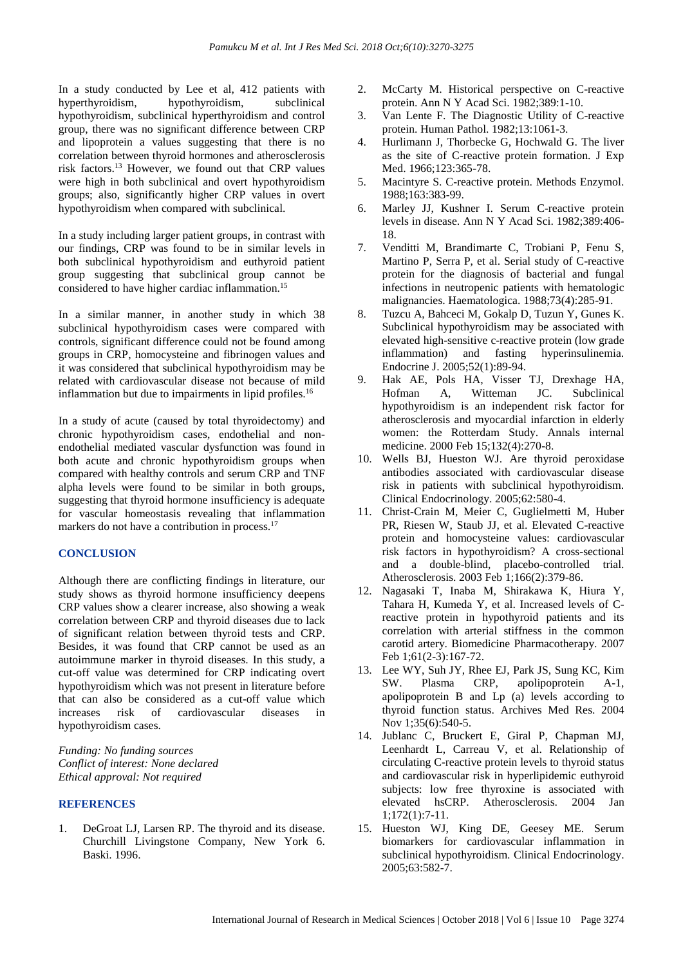In a study conducted by Lee et al, 412 patients with hyperthyroidism, hypothyroidism, subclinical hypothyroidism, subclinical hyperthyroidism and control group, there was no significant difference between CRP and lipoprotein a values suggesting that there is no correlation between thyroid hormones and atherosclerosis risk factors. <sup>13</sup> However, we found out that CRP values were high in both subclinical and overt hypothyroidism groups; also, significantly higher CRP values in overt hypothyroidism when compared with subclinical.

In a study including larger patient groups, in contrast with our findings, CRP was found to be in similar levels in both subclinical hypothyroidism and euthyroid patient group suggesting that subclinical group cannot be considered to have higher cardiac inflammation. 15

In a similar manner, in another study in which 38 subclinical hypothyroidism cases were compared with controls, significant difference could not be found among groups in CRP, homocysteine and fibrinogen values and it was considered that subclinical hypothyroidism may be related with cardiovascular disease not because of mild inflammation but due to impairments in lipid profiles. 16

In a study of acute (caused by total thyroidectomy) and chronic hypothyroidism cases, endothelial and nonendothelial mediated vascular dysfunction was found in both acute and chronic hypothyroidism groups when compared with healthy controls and serum CRP and TNF alpha levels were found to be similar in both groups, suggesting that thyroid hormone insufficiency is adequate for vascular homeostasis revealing that inflammation markers do not have a contribution in process.<sup>17</sup>

#### **CONCLUSION**

Although there are conflicting findings in literature, our study shows as thyroid hormone insufficiency deepens CRP values show a clearer increase, also showing a weak correlation between CRP and thyroid diseases due to lack of significant relation between thyroid tests and CRP. Besides, it was found that CRP cannot be used as an autoimmune marker in thyroid diseases. In this study, a cut-off value was determined for CRP indicating overt hypothyroidism which was not present in literature before that can also be considered as a cut-off value which increases risk of cardiovascular diseases in hypothyroidism cases.

*Funding: No funding sources Conflict of interest: None declared Ethical approval: Not required*

#### **REFERENCES**

1. DeGroat LJ, Larsen RP. The thyroid and its disease. Churchill Livingstone Company, New York 6. Baski. 1996.

- 2. McCarty M. Historical perspective on C-reactive protein. Ann N Y Acad Sci. 1982;389:1-10.
- 3. Van Lente F. The Diagnostic Utility of C-reactive protein. Human Pathol. 1982;13:1061-3.
- 4. Hurlimann J, Thorbecke G, Hochwald G. The liver as the site of C-reactive protein formation. J Exp Med. 1966;123:365-78.
- 5. Macintyre S. C-reactive protein. Methods Enzymol. 1988;163:383-99.
- 6. Marley JJ, Kushner I. Serum C-reactive protein levels in disease. Ann N Y Acad Sci. 1982;389:406- 18.
- 7. Venditti M, Brandimarte C, Trobiani P, Fenu S, Martino P, Serra P, et al. Serial study of C-reactive protein for the diagnosis of bacterial and fungal infections in neutropenic patients with hematologic malignancies. Haematologica. 1988;73(4):285-91.
- 8. Tuzcu A, Bahceci M, Gokalp D, Tuzun Y, Gunes K. Subclinical hypothyroidism may be associated with elevated high-sensitive c-reactive protein (low grade inflammation) and fasting hyperinsulinemia. Endocrine J. 2005;52(1):89-94.
- 9. Hak AE, Pols HA, Visser TJ, Drexhage HA, Hofman A, Witteman JC. Subclinical hypothyroidism is an independent risk factor for atherosclerosis and myocardial infarction in elderly women: the Rotterdam Study. Annals internal medicine. 2000 Feb 15;132(4):270-8.
- 10. Wells BJ, Hueston WJ. Are thyroid peroxidase antibodies associated with cardiovascular disease risk in patients with subclinical hypothyroidism. Clinical Endocrinology. 2005;62:580-4.
- 11. Christ-Crain M, Meier C, Guglielmetti M, Huber PR, Riesen W, Staub JJ, et al. Elevated C-reactive protein and homocysteine values: cardiovascular risk factors in hypothyroidism? A cross-sectional and a double-blind, placebo-controlled trial. Atherosclerosis. 2003 Feb 1;166(2):379-86.
- 12. Nagasaki T, Inaba M, Shirakawa K, Hiura Y, Tahara H, Kumeda Y, et al. Increased levels of Creactive protein in hypothyroid patients and its correlation with arterial stiffness in the common carotid artery. Biomedicine Pharmacotherapy. 2007 Feb 1;61(2-3):167-72.
- 13. Lee WY, Suh JY, Rhee EJ, Park JS, Sung KC, Kim SW. Plasma CRP, apolipoprotein A-1, apolipoprotein B and Lp (a) levels according to thyroid function status. Archives Med Res. 2004 Nov 1;35(6):540-5.
- 14. Jublanc C, Bruckert E, Giral P, Chapman MJ, Leenhardt L, Carreau V, et al. Relationship of circulating C-reactive protein levels to thyroid status and cardiovascular risk in hyperlipidemic euthyroid subjects: low free thyroxine is associated with elevated hsCRP. Atherosclerosis. 2004 Jan 1;172(1):7-11.
- 15. Hueston WJ, King DE, Geesey ME. Serum biomarkers for cardiovascular inflammation in subclinical hypothyroidism. Clinical Endocrinology. 2005;63:582-7.